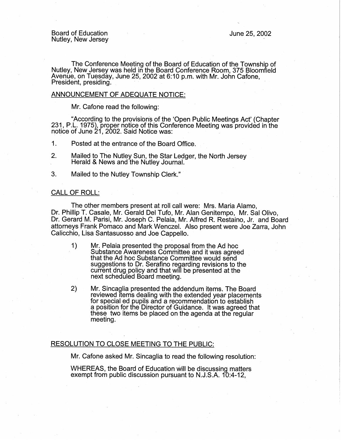The Conference Meeting of the Board of Education of the Township of Nutley, New Jersey was held in the Board Conference Room, 375 Bloomfield Avenue, on Tuesday, June 25, 2002 at 6:10 p.m. with Mr. John Cafone, President, presiding.

## ANNOUNCEMENT OF ADEQUATE NOTICE:

Mr. Cafone read the following:

"According to the provisions of the 'Open Public Meetings Act' (Chapter 231, P.L. 1975), proper notice of this Conference Meeting was provided in the notice of June  $21$ , 2002. Said Notice was:

1. Posted at the entrance of the Board Office.

2. Mailed to The Nutley Sun, the Star Ledger, the North Jersey Herald & News and the Nutley Journal.

3. Mailed to the Nutley Township Clerk."

## CALL OF ROLL:

The other members present at roll call were: Mrs. Maria Alamo, Dr. Phillip T. Casale, Mr. Gerald Del Tufo, Mr. Alan Genitempo, Mr. Sal Olivo, Dr. Gerard M. Parisi, Mr. Joseph C. Pelaia, Mr. Alfred R. Restaino, Jr. and Board attorneys Frank Pomaco and Mark Wenczel. Also present were Joe Zarra, John Calicchio, Lisa Santasuosso and Joe Cappello.

- 1) Mr. Pelaia presented the proposal from the Ad hoc Substance Awareness Committee and it was agreed that the Ad hoc Substance Committee would send suggestions to Dr. Serafino regarding revisions to the current drug policy and that will be presented at-the next scheduled Board meeting.
- 2) Mr. Sincaglia presented the addendum items. The Board reviewed items dealing with the extended year placements for special ed pupils and a recommendation to establish a position for the Director of Guidance. It was agreed that these two items be placed on the agenda at the regular meeting.

## RESOLUTION TO CLOSE MEETING TO THE PUBLIC:

Mr. Catone asked Mr. Sincaglia to read the following resolution:

WHEREAS, the Board of Education will be discussing matters exempt from public discussion pursuant to N.J.S.A. 10:4-12,